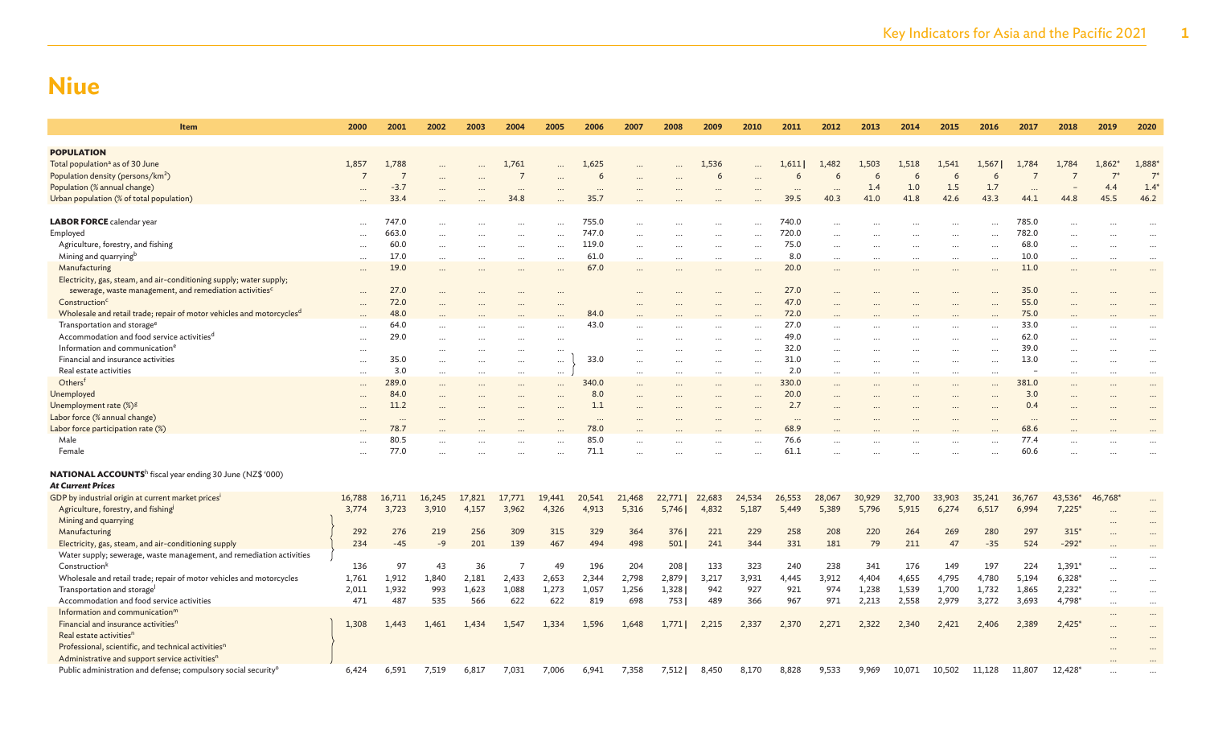| Item                                                                                              | 2000           | 2001           | 2002        | 2003       | 2004           | 2005       | 2006     | 2007       | 2008   | 2009       | 2010      | 2011       | 2012      | 2013   | 2014       | 2015      | 2016   | 2017                     | 2018              | 2019      | 2020                 |
|---------------------------------------------------------------------------------------------------|----------------|----------------|-------------|------------|----------------|------------|----------|------------|--------|------------|-----------|------------|-----------|--------|------------|-----------|--------|--------------------------|-------------------|-----------|----------------------|
| <b>POPULATION</b>                                                                                 |                |                |             |            |                |            |          |            |        |            |           |            |           |        |            |           |        |                          |                   |           |                      |
| Total population <sup>a</sup> as of 30 June                                                       | 1,857          | 1,788          |             |            | 1,761          |            | 1,625    |            |        | 1,536      |           | 1,611      | 1,482     | 1,503  | 1,518      | 1,541     | 1,567  | 1,784                    | 1,784             | $1,862*$  | 1,888*               |
| Population density (persons/km <sup>2</sup> )                                                     | $\overline{7}$ | $\overline{7}$ |             |            | $\overline{7}$ |            | 6        |            |        | 6          |           |            | 6         | 6      |            | 6         | 6      |                          |                   | $7^*$     | $7*$                 |
| Population (% annual change)                                                                      |                | $-3.7$         |             |            | $\cdots$       |            | $\cdots$ |            |        | $\cdots$   |           | $\cdots$   | $\cdots$  | 1.4    | 1.0        | 1.5       | 1.7    | $\cdots$                 |                   | 4.4       | $1.4*$               |
| Urban population (% of total population)                                                          |                | 33.4           |             |            | 34.8           |            | 35.7     |            |        |            |           | 39.5       | 40.3      | 41.0   | 41.8       | 42.6      | 43.3   | 44.1                     | 44.8              | 45.5      | 46.2                 |
|                                                                                                   |                |                |             |            |                |            |          |            |        |            |           |            |           |        |            |           |        |                          |                   |           |                      |
| LABOR FORCE calendar year                                                                         |                | 747.0          |             |            |                |            | 755.0    |            |        |            |           | 740.0      |           |        |            |           |        | 785.0                    |                   |           |                      |
| Employed                                                                                          |                | 663.0          |             |            |                |            | 747.0    |            |        | $\cdots$   |           | 720.0      |           |        |            |           |        | 782.0                    |                   |           |                      |
| Agriculture, forestry, and fishing                                                                | $\cdots$       | 60.0           | $\cdots$    |            | $\cdots$       | $\cdots$   | 119.0    |            |        | $\cdots$   | $\cdots$  | 75.0       |           |        |            | $\cdots$  |        | 68.0                     |                   |           | $\ddotsc$            |
| Mining and quarrying <sup>b</sup>                                                                 | $\ddotsc$      | 17.0           |             |            |                |            | 61.0     |            |        | $\ddotsc$  |           | 8.0        |           |        |            |           |        | 10.0                     |                   |           |                      |
| Manufacturing                                                                                     | $\cdots$       | 19.0           | $\cdots$    |            | $\cdots$       |            | 67.0     |            |        | $\cdots$   | $\cdots$  | 20.0       |           |        |            |           |        | 11.0                     |                   |           | $\cdots$             |
| Electricity, gas, steam, and air-conditioning supply; water supply;                               |                |                |             |            |                |            |          |            |        |            |           |            |           |        |            |           |        |                          |                   |           |                      |
| sewerage, waste management, and remediation activities <sup>c</sup>                               |                | 27.0           | $\cdots$    |            |                |            |          |            |        |            |           | 27.0       |           |        |            |           |        | 35.0                     |                   |           |                      |
| Construction <sup>c</sup>                                                                         |                | 72.0           |             |            |                |            |          |            |        |            |           | 47.0       |           |        |            |           |        | 55.0                     |                   |           |                      |
| Wholesale and retail trade; repair of motor vehicles and motorcycles <sup>d</sup>                 |                | 48.0           |             |            |                |            | 84.0     |            |        |            |           | 72.0       |           |        |            |           |        | 75.0                     |                   |           |                      |
| Transportation and storage <sup>e</sup>                                                           |                | 64.0           |             |            |                | $\cdots$   | 43.0     |            |        |            | $\ddotsc$ | 27.0       |           |        |            |           |        | 33.0                     |                   |           |                      |
| Accommodation and food service activities <sup>d</sup>                                            | $\cdots$       | 29.0           | $\cdots$    |            | $\ddotsc$      | $\cdots$   |          |            |        | $\cdots$   |           | 49.0       | $\cdots$  |        |            | $\ddots$  |        | 62.0                     |                   |           | $\ddotsc$            |
| Information and communication <sup>e</sup>                                                        | $\cdots$       |                | $\ddotsc$   | .          |                | $\cdots$   |          |            |        | $\cdots$   |           | 32.0       |           |        |            |           |        | 39.0                     |                   |           |                      |
| Financial and insurance activities                                                                |                | 35.0           | $\ddotsc$   |            | $\ddotsc$      | $\cdots$   | 33.0     |            |        | $\cdots$   | $\ddotsc$ | 31.0       |           |        |            |           |        | 13.0                     |                   |           |                      |
| Real estate activities                                                                            |                | 3.0            | $\cdots$    |            | $\cdots$       | $\cdots$   |          |            |        |            | $\ddots$  | 2.0        |           |        |            |           |        | $\overline{\phantom{m}}$ |                   |           | $\ddotsc$            |
| Othersf                                                                                           |                | 289.0          | $\cdots$    |            | $\ddotsc$      | $\cdots$   | 340.0    |            |        | $\cdots$   | $\ddotsc$ | 330.0      |           |        |            | $\ddotsc$ |        | 381.0                    |                   |           |                      |
| Unemployed                                                                                        |                | 84.0           | $\ddotsc$   |            | $\ddotsc$      |            | 8.0      |            |        | $\cdots$   |           | 20.0       | $\ddotsc$ |        |            | $\ddotsc$ |        | 3.0                      |                   |           | $\sim$               |
| Unemployment rate (%) <sup>g</sup>                                                                | $\ddotsc$      | 11.2           |             | .          | $\ddotsc$      |            | 1.1      |            |        | $\cdots$   | $\ddotsc$ | 2.7        |           |        |            | $\ddotsc$ |        | 0.4                      |                   |           |                      |
| Labor force (% annual change)                                                                     |                | $\cdots$       |             |            |                |            |          |            |        | $\cdots$   |           | $\cdots$   |           |        |            |           |        | $\cdots$                 |                   |           |                      |
| Labor force participation rate (%)                                                                |                | 78.7           |             |            |                |            | 78.0     |            |        |            |           | 68.9       |           |        |            |           |        | 68.6                     |                   |           |                      |
| Male                                                                                              | $\ddotsc$      | 80.5           |             |            |                |            | 85.0     |            |        |            |           | 76.6       |           |        |            |           |        | 77.4                     |                   |           |                      |
| Female                                                                                            | $\ddotsc$      | 77.0           |             |            |                |            | 71.1     |            |        |            |           | 61.1       |           |        |            |           |        | 60.6                     |                   |           |                      |
| <b>NATIONAL ACCOUNTS</b> <sup>h</sup> fiscal year ending 30 June (NZ\$ '000)                      |                |                |             |            |                |            |          |            |        |            |           |            |           |        |            |           |        |                          |                   |           |                      |
| <b>At Current Prices</b>                                                                          |                |                |             |            |                |            |          |            |        |            |           |            |           |        |            |           |        |                          |                   |           |                      |
| GDP by industrial origin at current market prices <sup>i</sup>                                    | 16,788         | 16,711         | 16,245      | 17,821     | 17,771         | 19,441     | 20,541   | 21,468     | 22,771 | 22,683     | 24,534    | 26,553     | 28,067    | 30,929 | 32,700     | 33,903    | 35,241 | 36,767                   | 43,536*           | 46,768*   |                      |
| Agriculture, forestry, and fishing                                                                | 3,774          | 3,723          | 3,910       | 4,157      | 3,962          | 4,326      | 4,913    | 5,316      | 5,746  | 4,832      | 5,187     | 5,449      | 5,389     | 5,796  | 5,915      | 6,274     | 6,517  | 6,994                    | $7,225*$          | $\ddotsc$ |                      |
| Mining and quarrying                                                                              |                | 276            |             |            | 309            |            | 329      |            |        |            | 229       |            | 208       | 220    |            | 269       | 280    |                          |                   |           |                      |
| Manufacturing                                                                                     | 292<br>234     | $-45$          | 219<br>$-9$ | 256<br>201 | 139            | 315<br>467 | 494      | 364<br>498 | 376    | 221<br>241 | 344       | 258<br>331 | 181       | 79     | 264<br>211 | 47        | $-35$  | 297<br>524               | $315*$<br>$-292*$ |           |                      |
| Electricity, gas, steam, and air-conditioning supply                                              |                |                |             |            |                |            |          |            | 501    |            |           |            |           |        |            |           |        |                          |                   |           |                      |
| Water supply; sewerage, waste management, and remediation activities<br>Construction <sup>k</sup> | 136            | 97             | 43          | 36         | $\overline{7}$ | 49         | 196      | 204        | 208    | 133        | 323       | 240        | 238       | 341    | 176        | 149       | 197    | 224                      | $1,391*$          |           | $\ddotsc$            |
| Wholesale and retail trade; repair of motor vehicles and motorcycles                              | 1,761          | 1,912          | 1,840       | 2,181      | 2,433          | 2,653      | 2,344    | 2,798      | 2,879  | 3,217      | 3,931     | 4,445      | 3,912     | 4,404  | 4,655      | 4,795     | 4,780  | 5,194                    | $6,328*$          |           | $\ddot{\phantom{a}}$ |
| Transportation and storage                                                                        | 2,011          | 1,932          | 993         | 1,623      | 1,088          | 1,273      | 1,057    | 1,256      | 1,328  | 942        | 927       | 921        | 974       | 1,238  | 1,539      | 1,700     | 1,732  | 1,865                    | $2,232*$          |           | $\ddotsc$            |
| Accommodation and food service activities                                                         | 471            | 487            | 535         | 566        | 622            | 622        | 819      | 698        | 753    | 489        | 366       | 967        | 971       | 2,213  | 2,558      | 2,979     | 3,272  | 3,693                    | 4,798*            |           |                      |
| Information and communication <sup>m</sup>                                                        |                |                |             |            |                |            |          |            |        |            |           |            |           |        |            |           |        |                          |                   |           | $\cdots$             |
| Financial and insurance activities <sup>n</sup>                                                   | 1,308          | 1.443          | 1.461       | 1.434      | 1.547          | 1.334      | 1,596    | 1,648      | 1,7711 | 2,215      | 2,337     | 2,370      | 2,271     | 2.322  | 2.340      | 2,421     | 2,406  | 2,389                    | $2,425*$          |           | $\cdots$             |
| Real estate activities <sup>n</sup>                                                               |                |                |             |            |                |            |          |            |        |            |           |            |           |        |            |           |        |                          |                   |           | $\cdots$             |
| Professional, scientific, and technical activities <sup>n</sup>                                   |                |                |             |            |                |            |          |            |        |            |           |            |           |        |            |           |        |                          |                   |           |                      |
| Administrative and support service activities <sup>n</sup>                                        |                |                |             |            |                |            |          |            |        |            |           |            |           |        |            |           |        |                          |                   |           |                      |
| Public administration and defense; compulsory social security <sup>o</sup>                        | 6,424          | 6,591          | 7,519       | 6,817      | 7.031          | 7,006      | 6.941    | 7,358      | 7.5121 | 8,450      | 8.170     | 8.828      | 9.533     | 9,969  | 10.071     | 10,502    | 11,128 | 11,807                   | 12,428*           |           |                      |
|                                                                                                   |                |                |             |            |                |            |          |            |        |            |           |            |           |        |            |           |        |                          |                   |           |                      |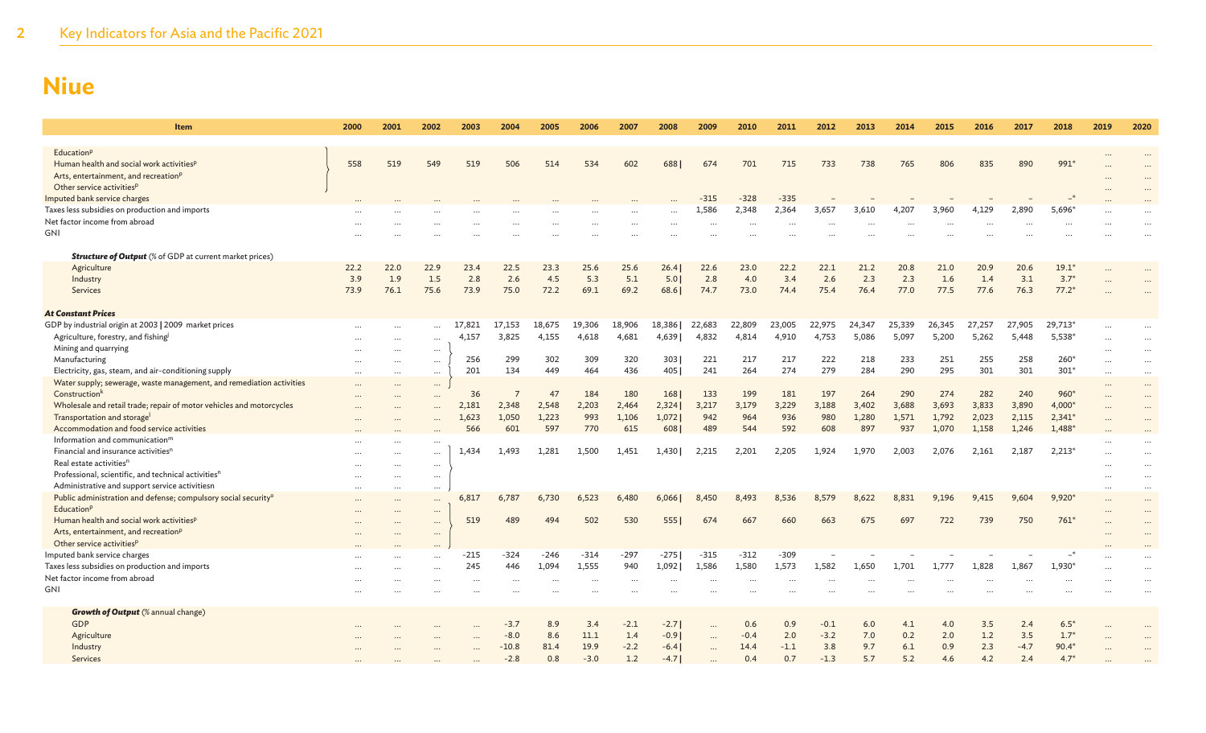| <b>Item</b>                                                                                          | 2000     | 2001      | 2002                 | 2003      | 2004           | 2005   | 2006      | 2007     | 2008     | 2009      | 2010     | 2011   | 2012   | 2013   | 2014   | 2015   | 2016   | 2017   | 2018     | 2019      | 2020                 |
|------------------------------------------------------------------------------------------------------|----------|-----------|----------------------|-----------|----------------|--------|-----------|----------|----------|-----------|----------|--------|--------|--------|--------|--------|--------|--------|----------|-----------|----------------------|
| Education <sup>p</sup>                                                                               |          |           |                      |           |                |        |           |          |          |           |          |        |        |        |        |        |        |        |          |           |                      |
| Human health and social work activities <sup>p</sup>                                                 | 558      | 519       | 549                  | 519       | 506            | 514    | 534       | 602      | 688      | 674       | 701      | 715    | 733    | 738    | 765    | 806    | 835    | 890    | 991*     |           |                      |
| Arts, entertainment, and recreation <sup>p</sup>                                                     |          |           |                      |           |                |        |           |          |          |           |          |        |        |        |        |        |        |        |          |           |                      |
| Other service activities <sup>p</sup>                                                                |          |           |                      |           |                |        |           |          |          |           |          |        |        |        |        |        |        |        |          |           |                      |
| Imputed bank service charges                                                                         |          |           |                      |           |                |        |           |          |          | $-315$    | $-328$   | $-335$ |        |        |        |        |        |        |          |           |                      |
| Taxes less subsidies on production and imports                                                       |          |           |                      |           |                |        |           |          |          | 1,586     | 2,348    | 2,364  | 3,657  | 3,610  | 4,207  | 3,960  | 4,129  | 2,890  | 5,696*   |           |                      |
| Net factor income from abroad                                                                        |          |           |                      | $\cdots$  |                |        |           |          | $\cdots$ | $\cdots$  | $\ddots$ |        |        |        |        |        |        |        |          | $\cdots$  | $\ddotsc$            |
| GNI                                                                                                  |          |           |                      |           |                |        |           |          |          |           |          |        |        |        |        |        |        |        |          |           |                      |
|                                                                                                      |          |           |                      |           |                |        |           |          |          |           |          |        |        |        |        |        |        |        |          |           |                      |
| <b>Structure of Output</b> (% of GDP at current market prices)                                       |          |           |                      |           |                |        |           |          |          |           |          |        |        |        |        |        |        |        |          |           |                      |
| Agriculture                                                                                          | 22.2     | 22.0      | 22.9                 | 23.4      | 22.5           | 23.3   | 25.6      | 25.6     | 26.4     | 22.6      | 23.0     | 22.2   | 22.1   | 21.2   | 20.8   | 21.0   | 20.9   | 20.6   | $19.1*$  |           |                      |
| Industry                                                                                             | 3.9      | 1.9       | 1.5                  | 2.8       | 2.6            | 4.5    | 5.3       | 5.1      | 5.01     | 2.8       | 4.0      | 3.4    | 2.6    | 2.3    | 2.3    | 1.6    | 1.4    | 3.1    | $3.7*$   |           |                      |
| Services                                                                                             | 73.9     | 76.1      | 75.6                 | 73.9      | 75.0           | 72.2   | 69.1      | 69.2     | 68.6     | 74.7      | 73.0     | 74.4   | 75.4   | 76.4   | 77.0   | 77.5   | 77.6   | 76.3   | $77.2*$  |           |                      |
| <b>At Constant Prices</b>                                                                            |          |           |                      |           |                |        |           |          |          |           |          |        |        |        |        |        |        |        |          |           |                      |
| GDP by industrial origin at 2003   2009 market prices                                                |          |           |                      | 17,821    | 17,153         | 18,675 | 19,306    | 18,906   | 18,386   | 22,683    | 22,809   | 23,005 | 22,975 | 24,347 | 25,339 | 26,345 | 27,257 | 27,905 | 29,713*  | $\cdots$  |                      |
| Agriculture, forestry, and fishing                                                                   | $\cdots$ |           |                      | 4,157     | 3,825          | 4,155  | 4,618     | 4,681    | 4,639    | 4,832     | 4,814    | 4,910  | 4,753  | 5,086  | 5,097  | 5,200  | 5,262  | 5,448  | $5,538*$ | $\cdots$  | $\ddotsc$            |
| Mining and quarrying                                                                                 |          |           | $\ldots$             |           |                |        |           |          |          |           |          |        |        |        |        |        |        |        |          |           | $\ddotsc$            |
| Manufacturing                                                                                        |          |           | $\cdots$             | 256       | 299            | 302    | 309       | 320      | 303      | 221       | 217      | 217    | 222    | 218    | 233    | 251    | 255    | 258    | $260*$   | $\cdots$  | $\cdots$             |
| Electricity, gas, steam, and air-conditioning supply                                                 |          | $\cdots$  | $\cdots$             | 201       | 134            | 449    | 464       | 436      | 405      | 241       | 264      | 274    | 279    | 284    | 290    | 295    | 301    | 301    | $301*$   |           | $\cdots$             |
| Water supply; sewerage, waste management, and remediation activities                                 |          |           | $\cdots$             |           |                |        |           |          |          |           |          |        |        |        |        |        |        |        |          |           | $\cdots$             |
| Construction <sup>k</sup>                                                                            |          |           |                      | 36        | $\overline{7}$ | 47     | 184       | 180      | 168      | 133       | 199      | 181    | 197    | 264    | 290    | 274    | 282    | 240    | $960*$   | $\cdots$  | $\cdots$             |
| Wholesale and retail trade; repair of motor vehicles and motorcycles                                 |          |           | $\ddotsc$            | 2,181     | 2,348          | 2,548  | 2,203     | 2,464    | 2,324    | 3,217     | 3,179    | 3,229  | 3,188  | 3,402  | 3,688  | 3,693  | 3,833  | 3,890  | 4,000*   |           | $\ddot{\phantom{a}}$ |
| Transportation and storage                                                                           |          |           | $\ddotsc$            | 1,623     | 1,050          | 1,223  | 993       | 1,106    | 1,072    | 942       | 964      | 936    | 980    | 1,280  | 1,571  | 1,792  | 2,023  | 2,115  | $2,341*$ | $\ddotsc$ | $\ddotsc$            |
| Accommodation and food service activities                                                            |          |           |                      | 566       | 601            | 597    | 770       | 615      | 608      | 489       | 544      | 592    | 608    | 897    | 937    | 1,070  | 1,158  | 1,246  | 1,488*   |           |                      |
| Information and communication <sup>m</sup>                                                           | $\cdots$ |           | $\ddotsc$            |           |                |        |           |          |          |           |          |        |        |        |        |        |        |        |          |           |                      |
| Financial and insurance activities <sup>n</sup>                                                      | $\cdots$ |           | $\cdots$             | 1.434     | 1.493          | 1,281  | 1.500     | 1.451    | 1.430    | 2.215     | 2,201    | 2,205  | 1.924  | 1.970  | 2.003  | 2,076  | 2,161  | 2.187  | $2,213*$ |           | $\ddot{\phantom{a}}$ |
| Real estate activities <sup>n</sup>                                                                  |          |           | $\ldots$             |           |                |        |           |          |          |           |          |        |        |        |        |        |        |        |          |           | $\ddotsc$            |
| Professional, scientific, and technical activities <sup>n</sup>                                      | $\cdots$ |           | $\cdots$             |           |                |        |           |          |          |           |          |        |        |        |        |        |        |        |          |           |                      |
| Administrative and support service activitiesn                                                       | $\cdots$ | $\ddotsc$ | $\cdots$             |           |                |        |           |          |          |           |          |        |        |        |        |        |        |        |          |           | $\cdots$             |
| Public administration and defense; compulsory social security <sup>o</sup><br>Education <sup>p</sup> | $\cdots$ |           | $\cdots$             | 6,817     | 6,787          | 6,730  | 6,523     | 6,480    | 6,066    | 8,450     | 8.493    | 8,536  | 8,579  | 8,622  | 8,831  | 9,196  | 9,415  | 9.604  | $9,920*$ | $\cdots$  | $\cdots$             |
| Human health and social work activities <sup>p</sup>                                                 | $\cdots$ |           | $\cdots$             | 519       | 489            | 494    | 502       | 530      | 5551     | 674       | 667      | 660    | 663    | 675    | 697    | 722    | 739    | 750    | $761*$   | $\ddotsc$ | $\cdots$             |
| Arts, entertainment, and recreation <sup>p</sup>                                                     |          |           | $\cdots$             |           |                |        |           |          |          |           |          |        |        |        |        |        |        |        |          |           |                      |
| Other service activities <sup>p</sup>                                                                |          |           |                      |           |                |        |           |          |          |           |          |        |        |        |        |        |        |        |          |           |                      |
| Imputed bank service charges                                                                         |          |           | $\ddot{\phantom{a}}$ | $-215$    | $-324$         | $-246$ | $-314$    | -297     | $-275$   | $-315$    | $-312$   | $-309$ |        |        |        |        |        |        |          |           |                      |
| Taxes less subsidies on production and imports                                                       |          |           | <br>$\cdots$         | 245       | 446            | 1,094  | 1,555     | 940      | 1,092    | 1,586     | 1,580    | 1,573  | 1,582  | 1,650  | 1,701  | 1,777  | 1,828  | 1,867  | 1,930*   |           |                      |
| Net factor income from abroad                                                                        |          |           |                      | $\ddotsc$ | $\ddotsc$      |        | $\ddotsc$ | $\cdots$ |          |           |          |        |        |        |        |        |        |        |          |           |                      |
| GNI                                                                                                  |          |           |                      |           |                |        |           |          |          |           |          |        |        |        |        |        |        |        |          |           |                      |
|                                                                                                      |          |           |                      |           |                |        |           |          |          |           |          |        |        |        |        |        |        |        |          |           |                      |
| <b>Growth of Output</b> (% annual change)                                                            |          |           |                      |           |                |        |           |          |          |           |          |        |        |        |        |        |        |        |          |           |                      |
| <b>GDP</b>                                                                                           |          |           |                      | $\cdots$  | $-3.7$         | 8.9    | 3.4       | $-2.1$   | $-2.71$  | $\ddotsc$ | 0.6      | 0.9    | $-0.1$ | 6.0    | 4.1    | 4.0    | 3.5    | 2.4    | $6.5*$   |           |                      |
| Agriculture                                                                                          |          |           |                      |           | $-8.0$         | 8.6    | 11.1      | 1.4      | $-0.9$   | $\cdots$  | $-0.4$   | 2.0    | $-3.2$ | 7.0    | 0.2    | 2.0    | 1.2    | 3.5    | $1.7*$   |           |                      |
| Industry                                                                                             |          |           |                      |           | $-10.8$        | 81.4   | 19.9      | $-2.2$   | $-6.4$   |           | 14.4     | $-1.1$ | 3.8    | 9.7    | 6.1    | 0.9    | 2.3    | $-4.7$ | $90.4*$  |           |                      |
| Services                                                                                             |          |           |                      |           | $-2.8$         | 0.8    | $-3.0$    | 1.2      | $-4.7$   |           | 0.4      | 0.7    | $-1.3$ | 5.7    | 5.2    | 4.6    | 4.2    | 2.4    | $4.7*$   |           |                      |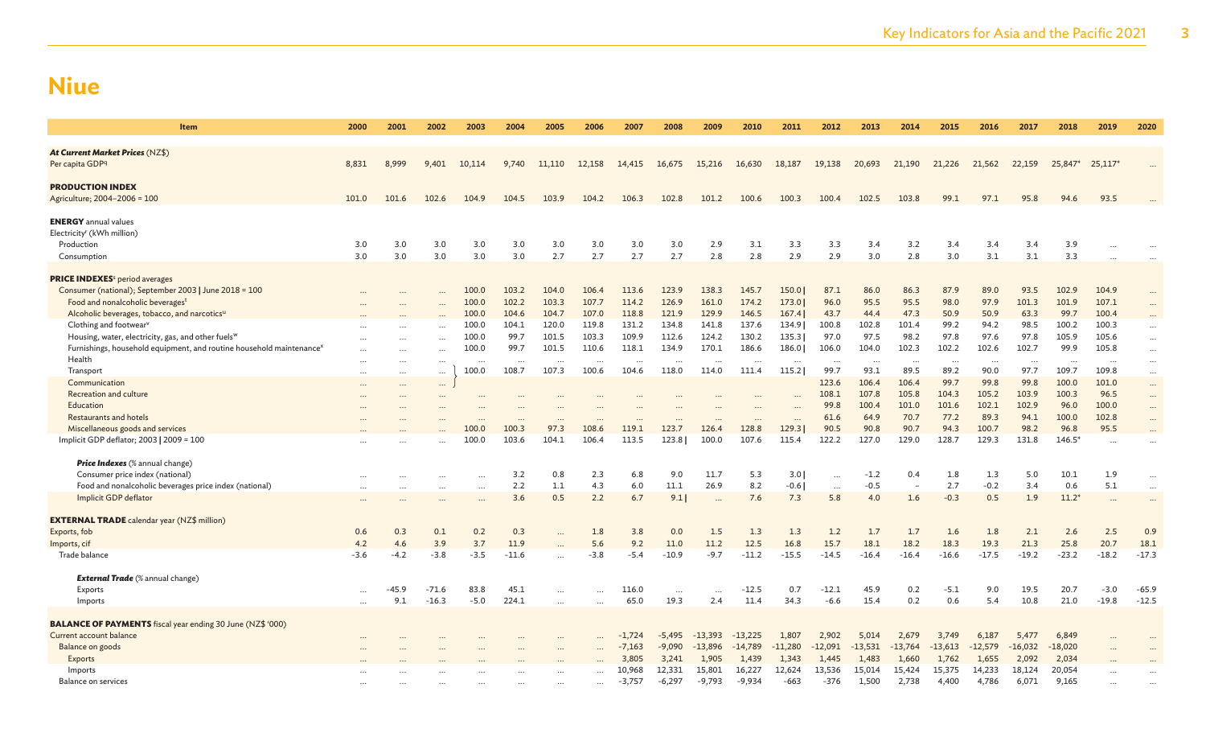| Item                                                                             | 2000     | 2001     | 2002     | 2003     | 2004     | 2005     | 2006      | 2007     | 2008     | 2009      | 2010      | 2011              | 2012         | 2013          | 2014                     | 2015          | 2016          | 2017          | 2018          | 2019                 | 2020     |
|----------------------------------------------------------------------------------|----------|----------|----------|----------|----------|----------|-----------|----------|----------|-----------|-----------|-------------------|--------------|---------------|--------------------------|---------------|---------------|---------------|---------------|----------------------|----------|
| <b>At Current Market Prices (NZ\$)</b>                                           |          |          |          |          |          |          |           |          |          |           |           |                   |              |               |                          |               |               |               |               |                      |          |
| Per capita GDP <sup>q</sup>                                                      | 8,831    | 8,999    | 9,401    | 10,114   | 9,740    | 11,110   | 12,158    | 14,415   | 16,675   | 15,216    | 16,630    | 18,187            | 19,138       | 20,693        | 21,190                   | 21,226        | 21,562        | 22,159        | 25,847*       | $25,117*$            |          |
| <b>PRODUCTION INDEX</b>                                                          |          |          |          |          |          |          |           |          |          |           |           |                   |              |               |                          |               |               |               |               |                      |          |
| Agriculture; 2004-2006 = 100                                                     | 101.0    | 101.6    | 102.6    | 104.9    | 104.5    | 103.9    | 104.2     | 106.3    | 102.8    | 101.2     | 100.6     | 100.3             | 100.4        | 102.5         | 103.8                    | 99.1          | 97.1          | 95.8          | 94.6          | 93.5                 |          |
| <b>ENERGY</b> annual values                                                      |          |          |          |          |          |          |           |          |          |           |           |                   |              |               |                          |               |               |               |               |                      |          |
| Electricity <sup>r</sup> (kWh million)                                           |          |          |          |          |          |          |           |          |          |           |           |                   |              |               |                          |               |               |               |               |                      |          |
| Production                                                                       | 3.0      | 3.0      | 3.0      | 3.0      | 3.0      | 3.0      | 3.0       | 3.0      | 3.0      | 2.9       | 3.1       | 3.3               | 3.3          | 3.4           | 3.2                      | 3.4           | 3.4           | 3.4           | 3.9           |                      |          |
| Consumption                                                                      | 3.0      | 3.0      | 3.0      | 3.0      | 3.0      | 2.7      | 2.7       | 2.7      | 2.7      | 2.8       | 2.8       | 2.9               | 2.9          | 3.0           | 2.8                      | 3.0           | 3.1           | 3.1           | 3.3           |                      |          |
| <b>PRICE INDEXES</b> <sup>s</sup> period averages                                |          |          |          |          |          |          |           |          |          |           |           |                   |              |               |                          |               |               |               |               |                      |          |
| Consumer (national); September 2003   June 2018 = 100                            |          |          |          | 100.0    | 103.2    | 104.0    | 106.4     | 113.6    | 123.9    | 138.3     | 145.7     | 150.0             | 87.1         | 86.0          | 86.3                     | 87.9          | 89.0          | 93.5          | 102.9         | 104.9                |          |
| Food and nonalcoholic beverages <sup>t</sup>                                     |          |          |          | 100.0    | 102.2    | 103.3    | 107.7     | 114.2    | 126.9    | 161.0     | 174.2     | 173.0             | 96.0         | 95.5          | 95.5                     | 98.0          | 97.9          | 101.3         | 101.9         | 107.1                | $\cdots$ |
| Alcoholic beverages, tobacco, and narcotics <sup>u</sup>                         |          |          |          | 100.0    | 104.6    | 104.7    | 107.0     | 118.8    | 121.9    | 129.9     | 146.5     | 167.4             | 43.7         | 44.4          | 47.3                     | 50.9          | 50.9          | 63.3          | 99.7          | 100.4                |          |
| Clothing and footwear <sup>v</sup>                                               |          |          |          | 100.0    | 104.1    | 120.0    | 119.8     | 131.2    | 134.8    | 141.8     | 137.6     | 134.9             | 100.8        | 102.8         | 101.4                    | 99.2          | 94.2          | 98.5          | 100.2         | 100.3                |          |
| Housing, water, electricity, gas, and other fuels <sup>w</sup>                   |          |          |          | 100.0    | 99.7     | 101.5    | 103.3     | 109.9    | 112.6    | 124.2     | 130.2     | 135.3             | 97.0         | 97.5          | 98.2                     | 97.8          | 97.6          | 97.8          | 105.9         | 105.6                |          |
| Furnishings, household equipment, and routine household maintenance <sup>»</sup> |          |          |          | 100.0    | 99.7     | 101.5    | 110.6     | 118.1    | 134.9    | 170.1     | 186.6     | 186.0             | 106.0        | 104.0         | 102.3                    | 102.2         | 102.6         | 102.7         | 99.9          | 105.8                | $\cdots$ |
| Health                                                                           | $\cdots$ |          |          | $\cdots$ | $\cdots$ | $\ddots$ |           | $\cdots$ | $\cdots$ | $\cdots$  | $\cdots$  |                   | $\cdots$     | $\cdots$      |                          | $\ddots$      | $\ddots$      | $\cdots$      | $\cdots$      | $\cdots$             | $\cdots$ |
| Transport                                                                        | $\cdots$ |          |          | 100.0    | 108.7    | 107.3    | 100.6     | 104.6    | 118.0    | 114.0     | 111.4     | 115.2             | 99.7         | 93.1          | 89.5                     | 89.2          | 90.0          | 97.7          | 109.7         | 109.8                | $\cdots$ |
| Communication                                                                    | $\cdots$ | $\cdots$ |          |          |          |          |           |          |          |           |           |                   | 123.6        | 106.4         | 106.4                    | 99.7          | 99.8          | 99.8          | 100.0         | 101.0                | $\cdots$ |
| Recreation and culture                                                           | $\cdots$ |          | $\cdots$ |          |          |          |           |          |          |           |           |                   | 108.1        | 107.8         | 105.8                    | 104.3         | 105.2         | 103.9         | 100.3         | 96.5                 | $\cdots$ |
| Education                                                                        |          |          |          |          |          |          |           |          |          |           |           |                   | 99.8         | 100.4<br>64.9 | 101.0<br>70.7            | 101.6<br>77.2 | 102.1<br>89.3 | 102.9<br>94.1 | 96.0          | 100.0                | $\cdots$ |
| Restaurants and hotels<br>Miscellaneous goods and services                       |          |          |          | 100.0    | 100.3    | <br>97.3 | 108.6     | 119.1    | 123.7    | <br>126.4 | <br>128.8 | $\ddots$<br>129.3 | 61.6<br>90.5 | 90.8          | 90.7                     | 94.3          | 100.7         | 98.2          | 100.0<br>96.8 | 102.8<br>95.5        | $\cdots$ |
| Implicit GDP deflator; 2003   2009 = 100                                         |          |          |          | 100.0    | 103.6    | 104.1    | 106.4     | 113.5    | 123.8    | 100.0     | 107.6     | 115.4             | 122.2        | 127.0         | 129.0                    | 128.7         | 129.3         | 131.8         | $146.5*$      |                      | $\cdots$ |
|                                                                                  |          |          |          |          |          |          |           |          |          |           |           |                   |              |               |                          |               |               |               |               | $\ddot{\phantom{a}}$ |          |
| <b>Price Indexes</b> (% annual change)                                           |          |          |          |          |          |          |           |          |          |           |           |                   |              |               |                          |               |               |               |               |                      |          |
| Consumer price index (national)                                                  |          |          |          |          | 3.2      | 0.8      | 2.3       | 6.8      | 9.0      | 11.7      | 5.3       | 3.0               | $\cdots$     | $-1.2$        | 0.4                      | 1.8           | 1.3           | 5.0           | 10.1          | 1.9                  | $\cdots$ |
| Food and nonalcoholic beverages price index (national)                           | $\cdots$ |          |          | $\cdots$ | 2.2      | 1.1      | 4.3       | 6.0      | 11.1     | 26.9      | 8.2       | $-0.6$            | $\ldots$     | $-0.5$        | $\overline{\phantom{a}}$ | 2.7           | $-0.2$        | 3.4           | 0.6           | 5.1                  | $\cdots$ |
| Implicit GDP deflator                                                            |          |          |          |          | 3.6      | 0.5      | 2.2       | 6.7      | 9.1      |           | 7.6       | 7.3               | 5.8          | 4.0           | 1.6                      | $-0.3$        | 0.5           | 1.9           | $11.2*$       | $\cdots$             |          |
| <b>EXTERNAL TRADE</b> calendar year (NZ\$ million)                               |          |          |          |          |          |          |           |          |          |           |           |                   |              |               |                          |               |               |               |               |                      |          |
| Exports, fob                                                                     | 0.6      | 0.3      | 0.1      | 0.2      | 0.3      |          | 1.8       | 3.8      | 0.0      | 1.5       | 1.3       | 1.3               | 1.2          | 1.7           | 1.7                      | 1.6           | 1.8           | 2.1           | 2.6           | 2.5                  | 0.9      |
| Imports, cif                                                                     | 4.2      | 4.6      | 3.9      | 3.7      | 11.9     |          | 5.6       | 9.2      | 11.0     | 11.2      | 12.5      | 16.8              | 15.7         | 18.1          | 18.2                     | 18.3          | 19.3          | 21.3          | 25.8          | 20.7                 | 18.1     |
| Trade balance                                                                    | $-3.6$   | $-4.2$   | $-3.8$   | $-3.5$   | $-11.6$  |          | $-3.8$    | $-5.4$   | $-10.9$  | $-9.7$    | $-11.2$   | $-15.5$           | $-14.5$      | $-16.4$       | $-16.4$                  | $-16.6$       | $-17.5$       | $-19.2$       | $-23.2$       | $-18.2$              | $-17.3$  |
| <b>External Trade</b> (% annual change)                                          |          |          |          |          |          |          |           |          |          |           |           |                   |              |               |                          |               |               |               |               |                      |          |
| Exports                                                                          |          | -45.9    | $-71.6$  | 83.8     | 45.1     |          |           | 116.0    | $\cdots$ | $\cdots$  | $-12.5$   | 0.7               | $-12.1$      | 45.9          | 0.2                      | $-5.1$        | 9.0           | 19.5          | 20.7          | $-3.0$               | $-65.9$  |
| Imports                                                                          |          | 9.1      | $-16.3$  | $-5.0$   | 224.1    |          |           | 65.0     | 19.3     | 2.4       | 11.4      | 34.3              | $-6.6$       | 15.4          | 0.2                      | 0.6           | 5.4           | 10.8          | 21.0          | $-19.8$              | $-12.5$  |
| <b>BALANCE OF PAYMENTS</b> fiscal year ending 30 June (NZ\$ '000)                |          |          |          |          |          |          |           |          |          |           |           |                   |              |               |                          |               |               |               |               |                      |          |
| Current account balance                                                          |          |          |          |          |          |          |           | $-1.724$ | -5,495   | $-13,393$ | $-13,225$ | 1,807             | 2,902        | 5,014         | 2,679                    | 3,749         | 6,187         | 5,477         | 6,849         |                      |          |
| Balance on goods                                                                 |          |          |          |          |          |          |           | $-7,163$ | $-9,090$ | $-13,896$ | $-14,789$ | $-11,280$         | $-12,091$    | $-13,531$     | $-13,764$                | $-13,613$     | $-12,579$     | $-16,032$     | $-18,020$     |                      |          |
| Exports                                                                          |          |          |          |          |          |          |           | 3,805    | 3,241    | 1,905     | 1,439     | 1,343             | 1,445        | 1,483         | 1,660                    | 1,762         | 1,655         | 2,092         | 2,034         |                      |          |
| Imports                                                                          |          |          |          |          |          |          | $\ddotsc$ | 10,968   | 12,331   | 15,801    | 16,227    | 12,624            | 13,536       | 15,014        | 15,424                   | 15,375        | 14,233        | 18,124        | 20,054        |                      |          |
| Balance on services                                                              |          |          |          |          |          | $\cdots$ | $\ddotsc$ | $-3,757$ | $-6,297$ | $-9,793$  | $-9,934$  | $-663$            | $-376$       | 1,500         | 2,738                    | 4,400         | 4,786         | 6,071         | 9,165         |                      |          |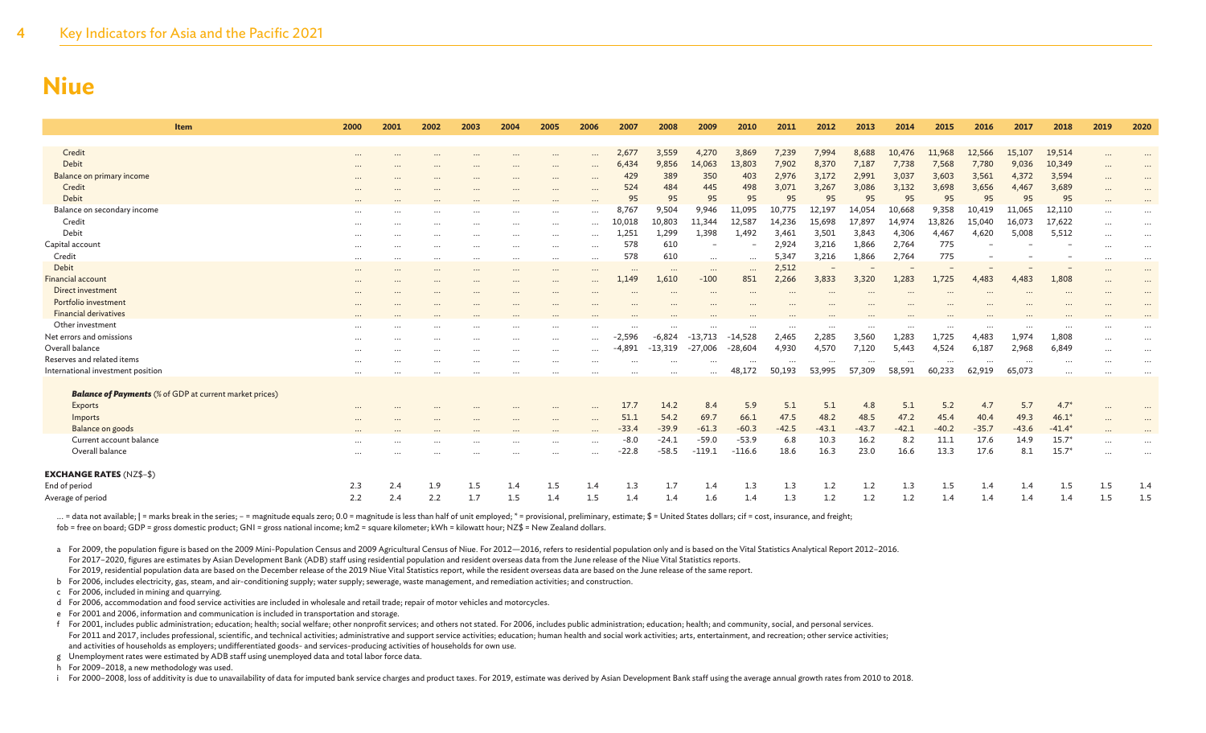| <b>Item</b>                                                    | 2000                 | 2001      | 2002                 | 2003                 | 2004     | 2005                 | 2006                 | 2007              | 2008              | 2009                     | 2010            | 2011     | 2012    | 2013     | 2014     | 2015    | 2016      | 2017    | 2018     | 2019                 | 2020                 |
|----------------------------------------------------------------|----------------------|-----------|----------------------|----------------------|----------|----------------------|----------------------|-------------------|-------------------|--------------------------|-----------------|----------|---------|----------|----------|---------|-----------|---------|----------|----------------------|----------------------|
| Credit                                                         |                      |           |                      |                      |          |                      |                      | 2,677             | 3,559             | 4,270                    | 3,869           | 7,239    | 7,994   | 8,688    | 10,476   | 11,968  | 12,566    | 15,107  | 19,514   |                      |                      |
| Debit                                                          | $\cdots$             |           |                      |                      |          | $\cdots$             | $\cdots$             | 6,434             | 9,856             | 14,063                   | 13,803          | 7,902    | 8,370   | 7,187    | 7,738    | 7,568   | 7,780     | 9,036   | 10,349   | $\cdots$             |                      |
| Balance on primary income                                      |                      |           |                      |                      |          |                      | $\cdots$             | 429               | 389               | 350                      | 403             | 2,976    | 3,172   | 2,991    | 3,037    | 3,603   | 3,561     | 4,372   | 3,594    | $\cdots$             |                      |
| Credit                                                         | $\cdots$             |           | $\cdots$             | $\cdots$             | $\cdots$ | $\cdots$             | $\cdots$             | 524               | 484               | 445                      | 498             | 3,071    | 3,267   | 3,086    | 3,132    | 3,698   | 3,656     | 4,467   | 3,689    | $\cdots$             | $\cdots$             |
| Debit                                                          |                      |           |                      |                      |          | $\cdots$             | $\cdots$             | 95                | 95                | 95                       | 95              | 95       | 95      | 95       | 95       | 95      | 95        | 95      | 95       | $\cdots$             | $\cdots$             |
| Balance on secondary income                                    |                      |           |                      |                      |          |                      | $\cdots$             | 8,767             | 9,504             | 9,946                    | 11,095          | 10,775   | 12,197  | 14,054   | 10,668   | 9,358   | 10,419    | 11,065  | 12,110   | $\cdots$             | $\ddotsc$            |
| Credit                                                         | $\cdots$             |           |                      |                      |          | $\cdots$             | $\cdots$             | LO.018            | 10,803            | 11,344                   | 12,587          | 14,236   | 15,698  | 17,897   | 14,974   | 13,826  | 15,040    | 16,073  | 17,622   | $\cdots$             | $\cdots$             |
| Debit                                                          | $\cdots$             |           | $\cdots$             |                      |          | $\cdots$             | $\cdots$             | 1.251             | 1,299             | 1,398                    | 1,492           | 3,461    | 3,501   | 3,843    | 4,306    | 4,467   | 4,620     | 5,008   | 5,512    | $\cdots$             | $\cdots$             |
| Capital account                                                | $\cdots$             | $\cdots$  | $\cdots$             | $\cdots$             | $\cdots$ | $\cdots$             | $\cdots$             | 578               | 610               | $\overline{\phantom{a}}$ |                 | 2,924    | 3,216   | 1,866    | 2,764    | 775     |           |         |          | $\cdots$             | $\cdots$             |
| Credit                                                         | $\cdots$             | $\cdots$  | $\cdots$             | $\cdots$             | $\cdots$ | $\cdots$             | $\cdots$             | 578               | 610               |                          |                 | 5,347    | 3,216   | 1,866    | 2,764    | 775     |           |         |          | $\cdots$             | $\cdots$             |
| Debit                                                          | $\cdots$             | $\cdots$  | $\cdots$             | $\cdots$             | $\cdots$ | $\cdots$             | $\cdots$             |                   |                   | $\cdots$                 | $\cdots$        | 2,512    |         |          |          |         |           |         |          | $\cdots$             | $\cdots$             |
| <b>Financial account</b>                                       | $\cdots$<br>$\cdots$ | $\ddotsc$ | $\cdots$<br>$\cdots$ | $\cdots$<br>$\cdots$ | $\cdots$ | $\cdots$<br>$\cdots$ | $\cdots$<br>$\cdots$ | $\cdots$<br>1.149 | $\cdots$<br>1,610 | $\cdots$<br>$-100$       | $\cdots$<br>851 | 2,266    | 3,833   | 3,320    | 1,283    | 1,725   | 4.483     | 4.483   | 1.808    | $\cdots$<br>$\cdots$ | $\cdots$<br>$\cdots$ |
| Direct investment                                              | $\cdots$             |           |                      |                      |          |                      | $\cdots$             |                   | $\ddotsc$         | $\cdots$                 |                 |          |         |          |          |         |           |         |          | $\cdots$             | $\cdots$             |
| Portfolio investment                                           | $\cdots$             |           |                      |                      |          |                      |                      |                   |                   | $\cdots$                 |                 |          |         |          |          |         |           |         |          | $\cdots$             |                      |
| <b>Financial derivatives</b>                                   | $\cdots$             |           |                      |                      |          |                      |                      |                   |                   |                          |                 |          |         |          |          |         |           |         |          | $\cdot$ .            |                      |
| Other investment                                               | $\cdots$             |           |                      |                      |          | $\cdots$             |                      |                   |                   |                          |                 |          |         |          | $\cdots$ |         | $\ddotsc$ |         |          | $\ddotsc$            |                      |
| Net errors and omissions                                       | $\cdots$             |           | $\cdots$             |                      |          | $\cdots$             | $\cdots$             | $-2,596$          | $-6,824$          | $-13,713$                | $-14,528$       | 2,465    | 2,285   | 3,560    | 1,283    | 1,725   | 4,483     | 1,974   | 1,808    | $\cdots$             |                      |
| Overall balance                                                | $\cdots$             |           | $\cdots$             | $\cdots$             | $\cdots$ | $\cdots$             | $\cdots$             | $-4,891$          | $-13,319$         | $-27,006$                | $-28,604$       | 4,930    | 4,570   | 7,120    | 5,443    | 4,524   | 6,187     | 2,968   | 6,849    | $\cdots$             | $\cdots$             |
| Reserves and related items                                     | $\cdots$             |           | $\cdots$             | $\cdots$             | $\cdots$ |                      | $\cdots$             |                   | $\ddots$          | $\cdots$                 | $\cdots$        | $\cdots$ |         | $\cdots$ | $\cdots$ |         | $\cdots$  |         | $\cdots$ | $\cdots$             | $\cdots$             |
| International investment position                              | $\cdots$             |           |                      |                      |          |                      |                      |                   |                   | $\cdots$                 | 48,172          | 50,193   | 53,995  | 57,309   | 58,591   | 60,233  | 62,919    | 65,073  |          | $\ddotsc$            |                      |
|                                                                |                      |           |                      |                      |          |                      |                      |                   |                   |                          |                 |          |         |          |          |         |           |         |          |                      |                      |
| <b>Balance of Payments</b> (% of GDP at current market prices) |                      |           |                      |                      |          |                      |                      |                   |                   |                          |                 |          |         |          |          |         |           |         |          |                      |                      |
| Exports                                                        | $\cdots$             |           |                      |                      |          | $\cdots$             | $\cdots$             | 17.7              | 14.2              | 8.4                      | 5.9             | 5.1      | 5.1     | 4.8      | 5.1      | 5.2     | 4.7       | 5.7     | $4.7*$   | $\cdots$             |                      |
| Imports                                                        | $\cdots$             |           |                      | $\cdots$             |          | $\cdots$             | $\cdots$             | 51.1              | 54.2              | 69.7                     | 66.1            | 47.5     | 48.2    | 48.5     | 47.2     | 45.4    | 40.4      | 49.3    | $46.1*$  | $\cdots$             |                      |
| Balance on goods                                               |                      |           |                      |                      |          |                      |                      | $-33.4$           | $-39.9$           | $-61.3$                  | $-60.3$         | $-42.5$  | $-43.1$ | $-43.7$  | $-42.1$  | $-40.2$ | $-35.7$   | $-43.6$ | $-41.4*$ | $\cdots$             |                      |
| Current account balance                                        |                      |           | .                    |                      |          |                      | $\cdots$             | $-8.0$            | $-24.1$           | $-59.0$                  | $-53.9$         | 6.8      | 10.3    | 16.2     | 8.2      | 11.1    | 17.6      | 14.9    | $15.7*$  |                      | $\cdots$             |
| Overall balance                                                |                      |           |                      |                      |          | $\cdots$             | $\cdots$             | $-22.8$           | $-58.5$           | $-119.1$                 | $-116.6$        | 18.6     | 16.3    | 23.0     | 16.6     | 13.3    | 17.6      | 8.1     | $15.7*$  | $\ddotsc$            |                      |
| <b>EXCHANGE RATES (NZ\$-\$)</b>                                |                      |           |                      |                      |          |                      |                      |                   |                   |                          |                 |          |         |          |          |         |           |         |          |                      |                      |
| End of period                                                  | 2.3                  | 2.4       | 1.9                  | 1.5                  | 1.4      | 1.5                  | 1.4                  | 1.3               | 1.7               | 1.4                      | 1.3             | 1.3      | 1.2     | 1.2      | 1.3      | 1.5     | 1.4       | 1.4     | $1.5\,$  | 1.5                  | 1.4                  |
| Average of period                                              | 2.2                  | 2.4       | 2.2                  | 1.7                  | 1.5      | 1.4                  | 1.5                  | 1.4               | 1.4               | 1.6                      | 1.4             | 1.3      | 1.2     | 1.2      | 1.2      | 1.4     | 1.4       | 1.4     | 1.4      | 1.5                  | 1.5                  |
|                                                                |                      |           |                      |                      |          |                      |                      |                   |                   |                          |                 |          |         |          |          |         |           |         |          |                      |                      |

... = data not available; | = marks break in the series; - = magnitude equals zero; 0.0 = magnitude is less than half of unit employed; \* = provisional, preliminary, estimate; \$ = United States dollars; cif = cost, insuran fob = free on board; GDP = gross domestic product; GNI = gross national income; km2 = square kilometer; kWh = kilowatt hour; NZ\$ = New Zealand dollars.

a For 2009, the population figure is based on the 2009 Mini-Population Census and 2009 Agricultural Census of Niue. For 2012-2016, refers to residential population only and is based on the Vital Statistics Analytical Repor For 2017–2020, figures are estimates by Asian Development Bank (ADB) staff using residential population and resident overseas data from the June release of the Niue Vital Statistics reports.

For 2019, residential population data are based on the December release of the 2019 Niue Vital Statistics report, while the resident overseas data are based on the June release of the same report.

b For 2006, includes electricity, gas, steam, and air-conditioning supply; water supply; sewerage, waste management, and remediation activities; and construction.

c For 2006, included in mining and quarrying.

d For 2006, accommodation and food service activities are included in wholesale and retail trade; repair of motor vehicles and motorcycles.

e For 2001 and 2006, information and communication is included in transportation and storage.

f For 2001, includes public administration; education; health; social welfare; other nonprofit services; and others not stated. For 2006, includes public administration; education; health; and community, social, and person For 2011 and 2017, includes professional, scientific, and technical activities; administrative and support service activities; education; human health and social work activities; arts, entertainment, and recreation; other and activities of households as employers; undifferentiated goods- and services-producing activities of households for own use.

g Unemployment rates were estimated by ADB staff using unemployed data and total labor force data.

h For 2009–2018, a new methodology was used.

i For 2000-2008, loss of additivity is due to unavailability of data for imputed bank service charges and product taxes. For 2019, estimate was derived by Asian Development Bank staff using the average annual growth rates